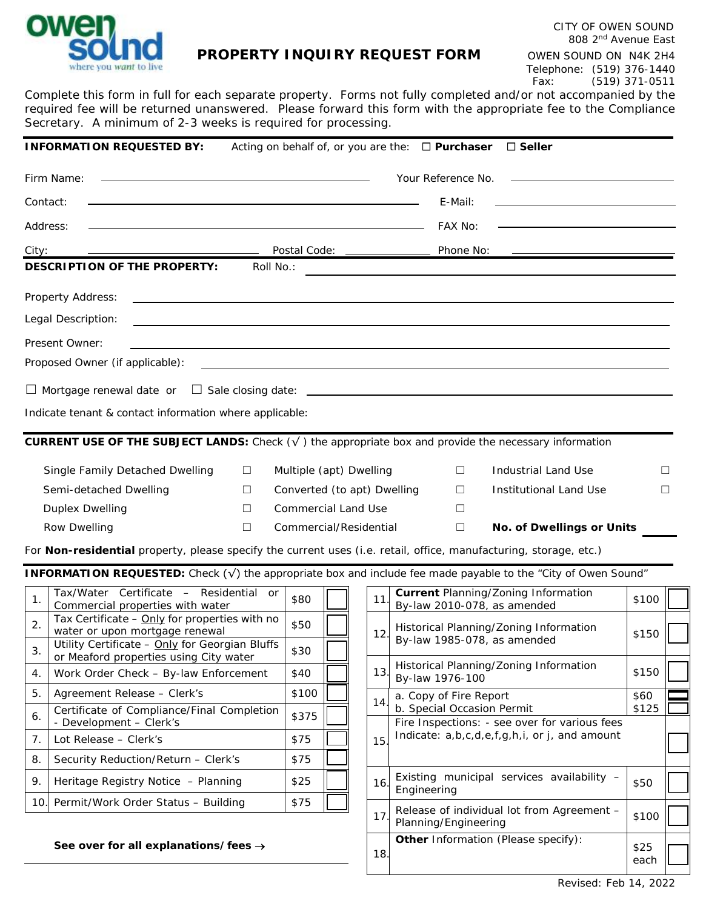

## **PROPERTY INQUIRY REQUEST FORM** OWEN SOUND ON N4K 2H4

Complete this form in full for each separate property. Forms not fully completed and/or not accompanied by the required fee will be returned unanswered. Please forward this form with the appropriate fee to the Compliance Secretary. A minimum of 2-3 weeks is required for processing.

|                                                                                                                                | <b>INFORMATION REQUESTED BY:</b>                                                                                                                                                                                              |  |                                 |                                                                                                 |     |    | Acting on behalf of, or you are the: $\Box$ Purchaser                                                            |  | $\Box$ Seller                                                                                                    |       |   |
|--------------------------------------------------------------------------------------------------------------------------------|-------------------------------------------------------------------------------------------------------------------------------------------------------------------------------------------------------------------------------|--|---------------------------------|-------------------------------------------------------------------------------------------------|-----|----|------------------------------------------------------------------------------------------------------------------|--|------------------------------------------------------------------------------------------------------------------|-------|---|
| Firm Name:<br>and the control of the control of the control of the control of the control of the control of the control of the |                                                                                                                                                                                                                               |  |                                 |                                                                                                 |     |    | Your Reference No.                                                                                               |  |                                                                                                                  |       |   |
| Contact:                                                                                                                       | the control of the control of the control of the control of the control of the control of the control of the control of the control of the control of the control of the control of the control of the control of the control |  |                                 |                                                                                                 |     |    | E-Mail:                                                                                                          |  |                                                                                                                  |       |   |
| Address:                                                                                                                       | the control of the control of the control of the control of the control of the control of                                                                                                                                     |  |                                 |                                                                                                 |     |    | FAX No:                                                                                                          |  |                                                                                                                  |       |   |
| City:<br>Postal Code: _____________                                                                                            |                                                                                                                                                                                                                               |  |                                 |                                                                                                 |     |    | Phone No:                                                                                                        |  | <u> 1989 - Johann Stein, fransk politik (</u>                                                                    |       |   |
| <b>DESCRIPTION OF THE PROPERTY:</b><br>Roll No.:                                                                               |                                                                                                                                                                                                                               |  |                                 |                                                                                                 |     |    |                                                                                                                  |  | and the control of the control of the control of the control of the control of the control of the control of the |       |   |
|                                                                                                                                | Property Address:<br>,我们也不会有什么。""我们的人,我们也不会有什么?""我们的人,我们也不会有什么?""我们的人,我们也不会有什么?""我们的人,我们也不会有什么?""我们的人                                                                                                                         |  |                                 |                                                                                                 |     |    |                                                                                                                  |  |                                                                                                                  |       |   |
|                                                                                                                                | Legal Description:<br>and the control of the control of the control of the control of the control of the control of the control of the                                                                                        |  |                                 |                                                                                                 |     |    |                                                                                                                  |  |                                                                                                                  |       |   |
|                                                                                                                                | Present Owner:                                                                                                                                                                                                                |  |                                 |                                                                                                 |     |    |                                                                                                                  |  |                                                                                                                  |       |   |
|                                                                                                                                | Proposed Owner (if applicable):                                                                                                                                                                                               |  |                                 |                                                                                                 |     |    | and the control of the control of the control of the control of the control of the control of the control of the |  |                                                                                                                  |       |   |
|                                                                                                                                |                                                                                                                                                                                                                               |  |                                 |                                                                                                 |     |    |                                                                                                                  |  |                                                                                                                  |       |   |
|                                                                                                                                | Indicate tenant & contact information where applicable:                                                                                                                                                                       |  |                                 |                                                                                                 |     |    |                                                                                                                  |  |                                                                                                                  |       |   |
|                                                                                                                                | <b>CURRENT USE OF THE SUBJECT LANDS:</b> Check $(\sqrt{})$ the appropriate box and provide the necessary information                                                                                                          |  |                                 |                                                                                                 |     |    |                                                                                                                  |  |                                                                                                                  |       |   |
|                                                                                                                                |                                                                                                                                                                                                                               |  |                                 |                                                                                                 |     |    |                                                                                                                  |  |                                                                                                                  |       |   |
| Single Family Detached Dwelling<br>⊔<br>$\Box$                                                                                 |                                                                                                                                                                                                                               |  |                                 | Multiple (apt) Dwelling<br>$\Box$<br>Converted (to apt) Dwelling<br>□<br>Institutional Land Use |     |    |                                                                                                                  |  | Industrial Land Use                                                                                              |       |   |
| Semi-detached Dwelling<br>$\Box$                                                                                               |                                                                                                                                                                                                                               |  | <b>Commercial Land Use</b><br>П |                                                                                                 |     |    |                                                                                                                  |  |                                                                                                                  |       | □ |
| <b>Duplex Dwelling</b><br>Row Dwelling<br>Commercial/Residential<br>$\Box$                                                     |                                                                                                                                                                                                                               |  |                                 |                                                                                                 |     |    | $\Box$                                                                                                           |  | <b>No. of Dwellings or Units</b>                                                                                 |       |   |
|                                                                                                                                | For Non-residential property, please specify the current uses (i.e. retail, office, manufacturing, storage, etc.)                                                                                                             |  |                                 |                                                                                                 |     |    |                                                                                                                  |  |                                                                                                                  |       |   |
|                                                                                                                                | INFORMATION REQUESTED: Check (√) the appropriate box and include fee made payable to the "City of Owen Sound"                                                                                                                 |  |                                 |                                                                                                 |     |    |                                                                                                                  |  |                                                                                                                  |       |   |
|                                                                                                                                | Tax/Water Certificate - Residential or                                                                                                                                                                                        |  |                                 |                                                                                                 |     |    |                                                                                                                  |  | <b>Current Planning/Zoning Information</b>                                                                       |       |   |
| $\mathbf 1$ .                                                                                                                  | Commercial properties with water                                                                                                                                                                                              |  | \$80                            |                                                                                                 | 11  |    | By-law 2010-078, as amended                                                                                      |  |                                                                                                                  | \$100 |   |
| 2.                                                                                                                             | Tax Certificate - Only for properties with no<br>water or upon mortgage renewal                                                                                                                                               |  | \$50                            |                                                                                                 | 12  |    | Historical Planning/Zoning Information                                                                           |  |                                                                                                                  | \$150 |   |
| 3.                                                                                                                             | Utility Certificate - Only for Georgian Bluffs                                                                                                                                                                                |  |                                 |                                                                                                 |     |    | By-law 1985-078, as amended                                                                                      |  |                                                                                                                  |       |   |
| $\overline{4}$ .                                                                                                               | or Meaford properties using City water<br>Work Order Check - By-law Enforcement                                                                                                                                               |  | \$40                            |                                                                                                 | 13. |    | By-law 1976-100                                                                                                  |  | Historical Planning/Zoning Information                                                                           | \$150 |   |
| 5.                                                                                                                             | Agreement Release - Clerk's                                                                                                                                                                                                   |  | \$100                           |                                                                                                 |     |    | a. Copy of Fire Report                                                                                           |  |                                                                                                                  | \$60  |   |
| 6.                                                                                                                             | Certificate of Compliance/Final Completion<br>- Development - Clerk's                                                                                                                                                         |  | \$375                           |                                                                                                 | 14  |    | b. Special Occasion Permit                                                                                       |  | Fire Inspections: - see over for various fees                                                                    | \$125 |   |
| 7.                                                                                                                             | Lot Release - Clerk's                                                                                                                                                                                                         |  | \$75                            |                                                                                                 | 15  |    | Indicate: a,b,c,d,e,f,g,h,i, or j, and amount                                                                    |  |                                                                                                                  |       |   |
| 8.                                                                                                                             | Security Reduction/Return - Clerk's                                                                                                                                                                                           |  | \$75                            |                                                                                                 |     |    |                                                                                                                  |  |                                                                                                                  |       |   |
| 9.                                                                                                                             | Heritage Registry Notice - Planning                                                                                                                                                                                           |  |                                 |                                                                                                 | 16  |    | Existing municipal services availability -<br>Engineering                                                        |  |                                                                                                                  |       |   |
| Permit/Work Order Status - Building<br>10.                                                                                     |                                                                                                                                                                                                                               |  | \$75                            |                                                                                                 |     | 17 |                                                                                                                  |  | Release of individual lot from Agreement -                                                                       |       |   |
| See over for all explanations/fees $\rightarrow$                                                                               |                                                                                                                                                                                                                               |  |                                 |                                                                                                 |     |    | Planning/Engineering                                                                                             |  |                                                                                                                  | \$100 |   |
|                                                                                                                                |                                                                                                                                                                                                                               |  |                                 |                                                                                                 | 18. |    |                                                                                                                  |  | Other Information (Please specify):                                                                              | \$25  |   |
|                                                                                                                                |                                                                                                                                                                                                                               |  |                                 |                                                                                                 |     |    |                                                                                                                  |  |                                                                                                                  | each  |   |